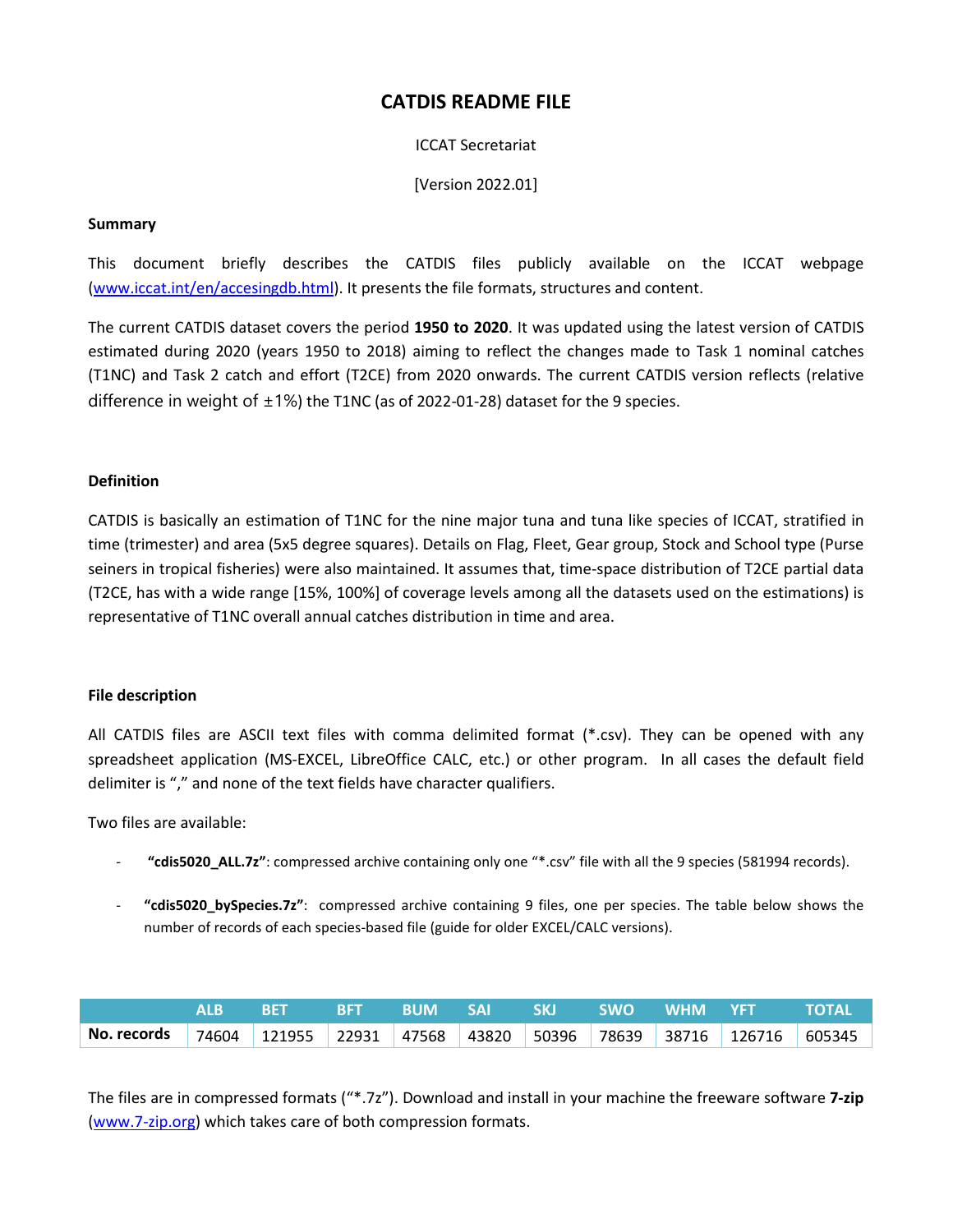# **CATDIS README FILE**

# ICCAT Secretariat

[Version 2022.01]

## **Summary**

This document briefly describes the CATDIS files publicly available on the ICCAT webpage [\(www.iccat.int/en/accesingdb.html\)](http://www.iccat.int/en/accesingdb.html). It presents the file formats, structures and content.

The current CATDIS dataset covers the period **1950 to 2020**. It was updated using the latest version of CATDIS estimated during 2020 (years 1950 to 2018) aiming to reflect the changes made to Task 1 nominal catches (T1NC) and Task 2 catch and effort (T2CE) from 2020 onwards. The current CATDIS version reflects (relative difference in weight of  $\pm 1\%$ ) the T1NC (as of 2022-01-28) dataset for the 9 species.

### **Definition**

CATDIS is basically an estimation of T1NC for the nine major tuna and tuna like species of ICCAT, stratified in time (trimester) and area (5x5 degree squares). Details on Flag, Fleet, Gear group, Stock and School type (Purse seiners in tropical fisheries) were also maintained. It assumes that, time-space distribution of T2CE partial data (T2CE, has with a wide range [15%, 100%] of coverage levels among all the datasets used on the estimations) is representative of T1NC overall annual catches distribution in time and area.

### **File description**

All CATDIS files are ASCII text files with comma delimited format (\*.csv). They can be opened with any spreadsheet application (MS-EXCEL, LibreOffice CALC, etc.) or other program. In all cases the default field delimiter is "," and none of the text fields have character qualifiers.

Two files are available:

- **"cdis5020\_ALL.7z"**: compressed archive containing only one "\*.csv" file with all the 9 species (581994 records).
- **"cdis5020\_bySpecies.7z"**: compressed archive containing 9 files, one per species. The table below shows the number of records of each species-based file (guide for older EXCEL/CALC versions).

|                                                                            |  |  |  |  | ALB BET BFT BUM SAI SKI SWO WHM YFT TOTAL |  |
|----------------------------------------------------------------------------|--|--|--|--|-------------------------------------------|--|
| No. records 74604 121955 22931 47568 43820 50396 78639 38716 126716 605345 |  |  |  |  |                                           |  |

The files are in compressed formats ("\*.7z"). Download and install in your machine the freeware software **7-zip** [\(www.7-zip.org\)](http://www.7-zip.org/) which takes care of both compression formats.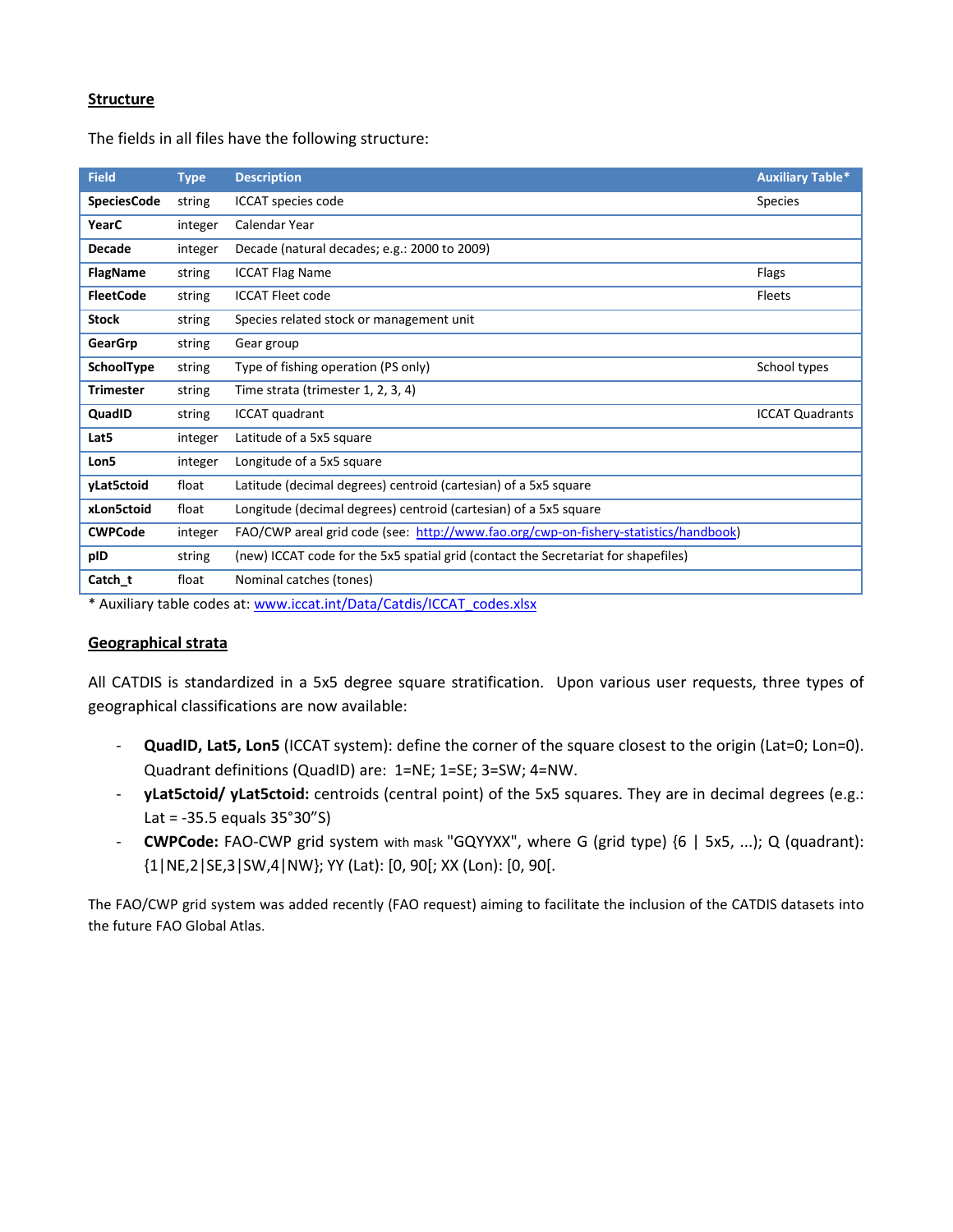# **Structure**

The fields in all files have the following structure:

| <b>Field</b>       | <b>Type</b> | <b>Description</b>                                                                   | <b>Auxiliary Table*</b> |
|--------------------|-------------|--------------------------------------------------------------------------------------|-------------------------|
| <b>SpeciesCode</b> | string      | ICCAT species code                                                                   | Species                 |
| YearC              | integer     | Calendar Year                                                                        |                         |
| <b>Decade</b>      | integer     | Decade (natural decades; e.g.: 2000 to 2009)                                         |                         |
| <b>FlagName</b>    | string      | <b>ICCAT Flag Name</b>                                                               | Flags                   |
| <b>FleetCode</b>   | string      | <b>ICCAT Fleet code</b>                                                              | Fleets                  |
| <b>Stock</b>       | string      | Species related stock or management unit                                             |                         |
| GearGrp            | string      | Gear group                                                                           |                         |
| SchoolType         | string      | Type of fishing operation (PS only)                                                  | School types            |
| <b>Trimester</b>   | string      | Time strata (trimester 1, 2, 3, 4)                                                   |                         |
| QuadID             | string      | <b>ICCAT</b> quadrant                                                                | <b>ICCAT Quadrants</b>  |
| Lat5               | integer     | Latitude of a 5x5 square                                                             |                         |
| Lon5               | integer     | Longitude of a 5x5 square                                                            |                         |
| yLat5ctoid         | float       | Latitude (decimal degrees) centroid (cartesian) of a 5x5 square                      |                         |
| xLon5ctoid         | float       | Longitude (decimal degrees) centroid (cartesian) of a 5x5 square                     |                         |
| <b>CWPCode</b>     | integer     | FAO/CWP areal grid code (see: http://www.fao.org/cwp-on-fishery-statistics/handbook) |                         |
| pID                | string      | (new) ICCAT code for the 5x5 spatial grid (contact the Secretariat for shapefiles)   |                         |
| Catch t            | float       | Nominal catches (tones)                                                              |                         |

\* Auxiliary table codes at: [www.iccat.int/Data/Catdis/ICCAT\\_codes.xlsx](http://www.iccat.int/Data/Catdis/ICCAT_codes.xlsx)

### **Geographical strata**

All CATDIS is standardized in a 5x5 degree square stratification. Upon various user requests, three types of geographical classifications are now available:

- **QuadID, Lat5, Lon5** (ICCAT system): define the corner of the square closest to the origin (Lat=0; Lon=0). Quadrant definitions (QuadID) are: 1=NE; 1=SE; 3=SW; 4=NW.
- **yLat5ctoid/ yLat5ctoid:** centroids (central point) of the 5x5 squares. They are in decimal degrees (e.g.: Lat = -35.5 equals 35°30"S)
- **CWPCode:** FAO-CWP grid system with mask "GQYYXX", where G (grid type) {6 | 5x5, ...); Q (quadrant): {1|NE,2|SE,3|SW,4|NW}; YY (Lat): [0, 90[; XX (Lon): [0, 90[.

The FAO/CWP grid system was added recently (FAO request) aiming to facilitate the inclusion of the CATDIS datasets into the future FAO Global Atlas.